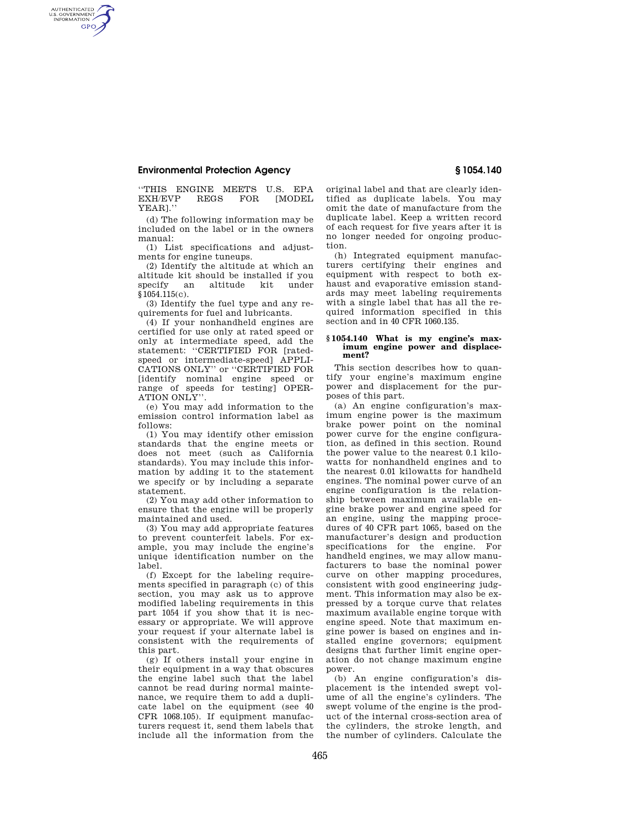## **Environmental Protection Agency § 1054.140**

AUTHENTICATED<br>U.S. GOVERNMENT<br>INFORMATION **GPO** 

> ''THIS ENGINE MEETS U.S. EPA EXH/EVP YEAR].''

> (d) The following information may be included on the label or in the owners manual:

> (1) List specifications and adjustments for engine tuneups.

> (2) Identify the altitude at which an altitude kit should be installed if you specify an altitude kit under §1054.115(c).

> (3) Identify the fuel type and any requirements for fuel and lubricants.

(4) If your nonhandheld engines are certified for use only at rated speed or only at intermediate speed, add the statement: ''CERTIFIED FOR [ratedspeed or intermediate-speed] APPLI-CATIONS ONLY'' or ''CERTIFIED FOR [identify nominal engine speed or range of speeds for testing] OPER-ATION ONLY''.

(e) You may add information to the emission control information label as follows:

(1) You may identify other emission standards that the engine meets or does not meet (such as California standards). You may include this information by adding it to the statement we specify or by including a separate statement.

(2) You may add other information to ensure that the engine will be properly maintained and used.

(3) You may add appropriate features to prevent counterfeit labels. For example, you may include the engine's unique identification number on the label.

(f) Except for the labeling requirements specified in paragraph (c) of this section, you may ask us to approve modified labeling requirements in this part 1054 if you show that it is necessary or appropriate. We will approve your request if your alternate label is consistent with the requirements of this part.

(g) If others install your engine in their equipment in a way that obscures the engine label such that the label cannot be read during normal maintenance, we require them to add a duplicate label on the equipment (see 40 CFR 1068.105). If equipment manufacturers request it, send them labels that include all the information from the

original label and that are clearly identified as duplicate labels. You may omit the date of manufacture from the duplicate label. Keep a written record of each request for five years after it is no longer needed for ongoing production.

(h) Integrated equipment manufacturers certifying their engines and equipment with respect to both exhaust and evaporative emission standards may meet labeling requirements with a single label that has all the required information specified in this section and in 40 CFR 1060.135.

## **§ 1054.140 What is my engine's maximum engine power and displacement?**

This section describes how to quantify your engine's maximum engine power and displacement for the purposes of this part.

(a) An engine configuration's maximum engine power is the maximum brake power point on the nominal power curve for the engine configuration, as defined in this section. Round the power value to the nearest 0.1 kilowatts for nonhandheld engines and to the nearest 0.01 kilowatts for handheld engines. The nominal power curve of an engine configuration is the relationship between maximum available engine brake power and engine speed for an engine, using the mapping procedures of 40 CFR part 1065, based on the manufacturer's design and production specifications for the engine. For handheld engines, we may allow manufacturers to base the nominal power curve on other mapping procedures, consistent with good engineering judgment. This information may also be expressed by a torque curve that relates maximum available engine torque with engine speed. Note that maximum engine power is based on engines and installed engine governors; equipment designs that further limit engine operation do not change maximum engine power.

(b) An engine configuration's displacement is the intended swept volume of all the engine's cylinders. The swept volume of the engine is the product of the internal cross-section area of the cylinders, the stroke length, and the number of cylinders. Calculate the